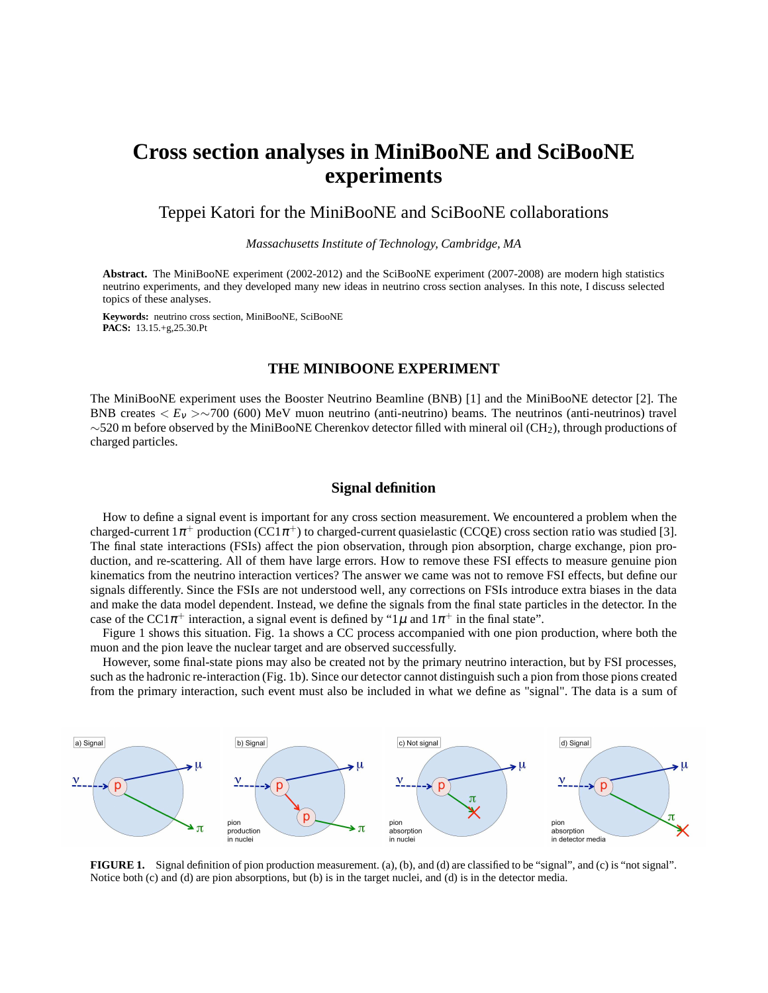# **Cross section analyses in MiniBooNE and SciBooNE experiments**

# Teppei Katori for the MiniBooNE and SciBooNE collaborations

*Massachusetts Institute of Technology, Cambridge, MA*

**Abstract.** The MiniBooNE experiment (2002-2012) and the SciBooNE experiment (2007-2008) are modern high statistics neutrino experiments, and they developed many new ideas in neutrino cross section analyses. In this note, I discuss selected topics of these analyses.

**Keywords:** neutrino cross section, MiniBooNE, SciBooNE **PACS:** 13.15.+g,25.30.Pt

# **THE MINIBOONE EXPERIMENT**

The MiniBooNE experiment uses the Booster Neutrino Beamline (BNB) [1] and the MiniBooNE detector [2]. The BNB creates  $\langle E_v \rangle > \sim 700$  (600) MeV muon neutrino (anti-neutrino) beams. The neutrinos (anti-neutrinos) travel ∼520 m before observed by the MiniBooNE Cherenkov detector filled with mineral oil (CH2), through productions of charged particles.

# **Signal definition**

How to define a signal event is important for any cross section measurement. We encountered a problem when the charged-current  $1\pi^+$  production (CC1 $\pi^+$ ) to charged-current quasielastic (CCQE) cross section ratio was studied [3]. The final state interactions (FSIs) affect the pion observation, through pion absorption, charge exchange, pion production, and re-scattering. All of them have large errors. How to remove these FSI effects to measure genuine pion kinematics from the neutrino interaction vertices? The answer we came was not to remove FSI effects, but define our signals differently. Since the FSIs are not understood well, any corrections on FSIs introduce extra biases in the data and make the data model dependent. Instead, we define the signals from the final state particles in the detector. In the case of the CC1 $\pi^+$  interaction, a signal event is defined by "1 $\mu$  and 1 $\pi^+$  in the final state".

Figure 1 shows this situation. Fig. 1a shows a CC process accompanied with one pion production, where both the muon and the pion leave the nuclear target and are observed successfully.

However, some final-state pions may also be created not by the primary neutrino interaction, but by FSI processes, such as the hadronic re-interaction (Fig. 1b). Since our detector cannot distinguish such a pion from those pions created from the primary interaction, such event must also be included in what we define as "signal". The data is a sum of



**FIGURE 1.** Signal definition of pion production measurement. (a), (b), and (d) are classified to be "signal", and (c) is "not signal". Notice both (c) and (d) are pion absorptions, but (b) is in the target nuclei, and (d) is in the detector media.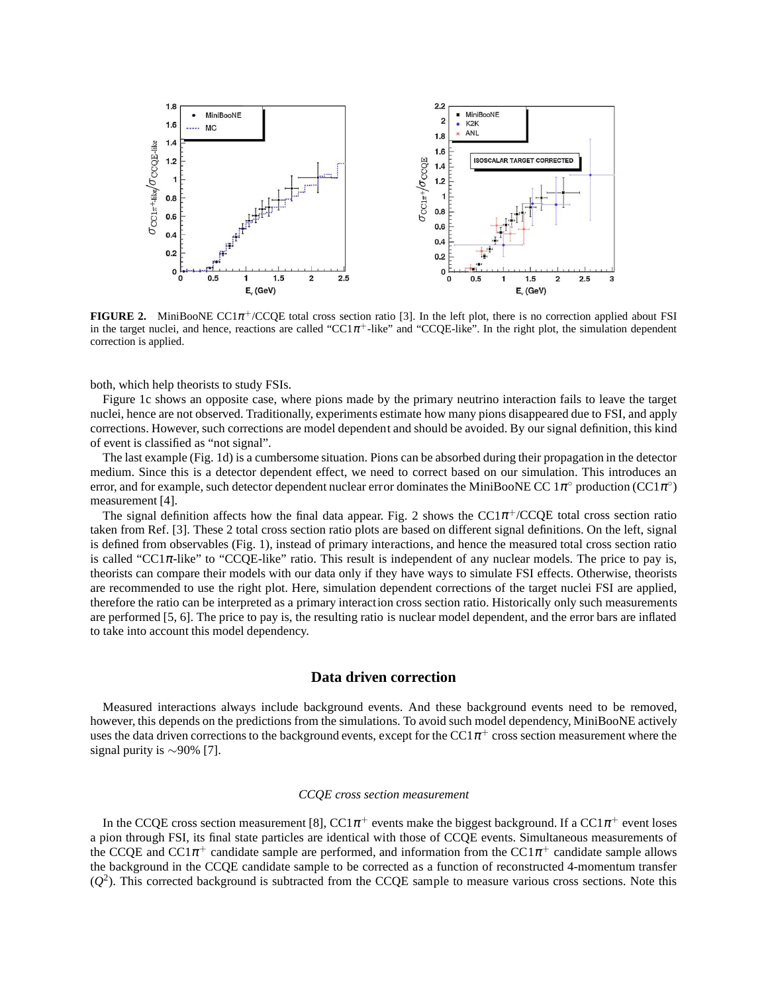

**FIGURE 2.** MiniBooNE CC1 $\pi$ <sup>+</sup>/CCQE total cross section ratio [3]. In the left plot, there is no correction applied about FSI in the target nuclei, and hence, reactions are called "CC1 $\pi$ <sup>+</sup>-like" and "CCQE-like". In the right plot, the simulation dependent correction is applied.

both, which help theorists to study FSIs.

Figure 1c shows an opposite case, where pions made by the primary neutrino interaction fails to leave the target nuclei, hence are not observed. Traditionally, experiments estimate how many pions disappeared due to FSI, and apply corrections. However, such corrections are model dependent and should be avoided. By our signal definition, this kind of event is classified as "not signal".

The last example (Fig. 1d) is a cumbersome situation. Pions can be absorbed during their propagation in the detector medium. Since this is a detector dependent effect, we need to correct based on our simulation. This introduces an error, and for example, such detector dependent nuclear error dominates the MiniBooNE CC  $1\pi^\circ$  production (CC1 $\pi^\circ$ ) measurement [4].

The signal definition affects how the final data appear. Fig. 2 shows the  $CC1\pi^+$ /CCQE total cross section ratio taken from Ref. [3]. These 2 total cross section ratio plots are based on different signal definitions. On the left, signal is defined from observables (Fig. 1), instead of primary interactions, and hence the measured total cross section ratio is called "CC1 $\pi$ -like" to "CCQE-like" ratio. This result is independent of any nuclear models. The price to pay is, theorists can compare their models with our data only if they have ways to simulate FSI effects. Otherwise, theorists are recommended to use the right plot. Here, simulation dependent corrections of the target nuclei FSI are applied, therefore the ratio can be interpreted as a primary interaction cross section ratio. Historically only such measurements are performed [5, 6]. The price to pay is, the resulting ratio is nuclear model dependent, and the error bars are inflated to take into account this model dependency.

# **Data driven correction**

Measured interactions always include background events. And these background events need to be removed, however, this depends on the predictions from the simulations. To avoid such model dependency, MiniBooNE actively uses the data driven corrections to the background events, except for the CC1 $\pi^+$  cross section measurement where the signal purity is ∼90% [7].

#### *CCQE cross section measurement*

In the CCQE cross section measurement [8], CC1 $\pi^+$  events make the biggest background. If a CC1 $\pi^+$  event loses a pion through FSI, its final state particles are identical with those of CCQE events. Simultaneous measurements of the CCQE and CC1 $\pi^+$  candidate sample are performed, and information from the CC1 $\pi^+$  candidate sample allows the background in the CCQE candidate sample to be corrected as a function of reconstructed 4-momentum transfer  $(Q<sup>2</sup>)$ . This corrected background is subtracted from the CCQE sample to measure various cross sections. Note this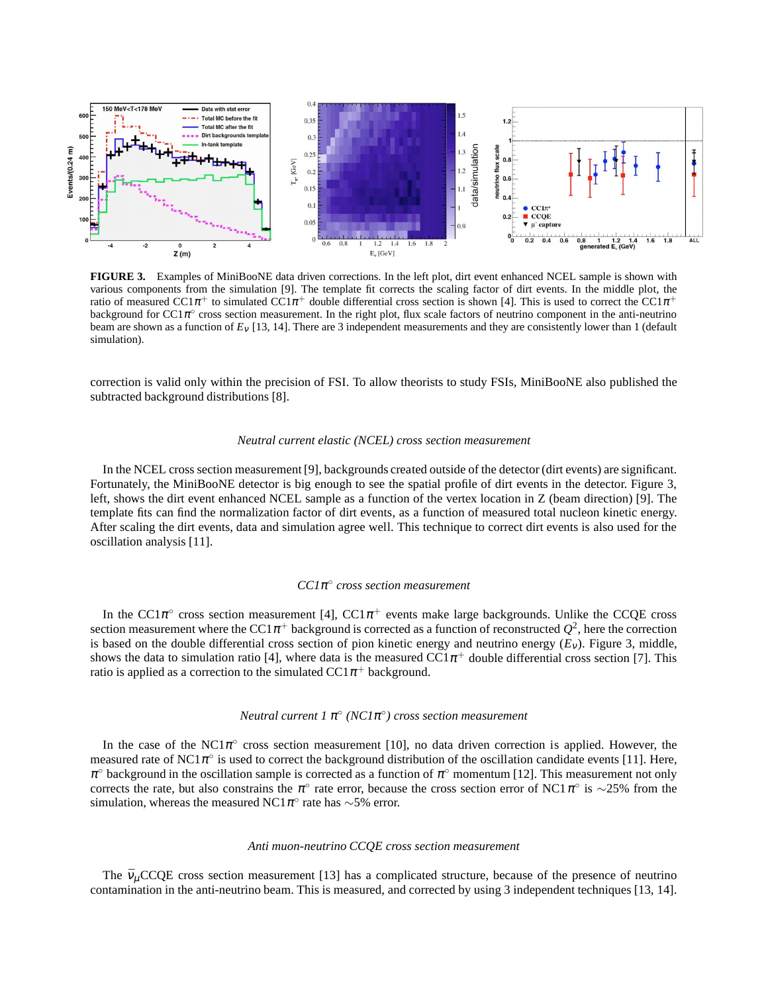

**FIGURE 3.** Examples of MiniBooNE data driven corrections. In the left plot, dirt event enhanced NCEL sample is shown with various components from the simulation [9]. The template fit corrects the scaling factor of dirt events. In the middle plot, the ratio of measured CC1 $\pi^+$  to simulated CC1 $\pi^+$  double differential cross section is shown [4]. This is used to correct the CC1 $\pi^+$  $\frac{1}{2}$  background for CC1 $\pi$ ° cross section measurement. In the right plot, flux scale factors of neutrino component in the anti-neutrino beam are shown as a function of *E*<sup>ν</sup> [13, 14]. There are 3 independent measurements and they are consistently lower than 1 (default simulation).

correction is valid only within the precision of FSI. To allow theorists to study FSIs, MiniBooNE also published the subtracted background distributions [8].

#### *Neutral current elastic (NCEL) cross section measurement*

In the NCEL cross section measurement [9], backgrounds created outside of the detector (dirt events) are significant. Fortunately, the MiniBooNE detector is big enough to see the spatial profile of dirt events in the detector. Figure 3, left, shows the dirt event enhanced NCEL sample as a function of the vertex location in Z (beam direction) [9]. The template fits can find the normalization factor of dirt events, as a function of measured total nucleon kinetic energy. After scaling the dirt events, data and simulation agree well. This technique to correct dirt events is also used for the oscillation analysis [11].

# *CC1*<sup>π</sup> ◦ *cross section measurement*

In the CC1 $\pi$ ° cross section measurement [4], CC1 $\pi$ <sup>+</sup> events make large backgrounds. Unlike the CCQE cross section measurement where the CC1 $\pi$ <sup>+</sup> background is corrected as a function of reconstructed  $Q^2$ , here the correction is based on the double differential cross section of pion kinetic energy and neutrino energy  $(E_v)$ . Figure 3, middle, shows the data to simulation ratio [4], where data is the measured  $CC1\pi^+$  double differential cross section [7]. This ratio is applied as a correction to the simulated  $CC1\pi^+$  background.

# *Neutral current 1* <sup>π</sup> ◦ *(NC1*<sup>π</sup> ◦ *) cross section measurement*

In the case of the NC1 $\pi$ ° cross section measurement [10], no data driven correction is applied. However, the measured rate of NC1 $\pi^{\circ}$  is used to correct the background distribution of the oscillation candidate events [11]. Here,  $\pi^{\circ}$  background in the oscillation sample is corrected as a function of  $\pi^{\circ}$  momentum [12]. This measurement not only corrects the rate, but also constrains the  $\pi^{\circ}$  rate error, because the cross section error of NC1  $\pi^{\circ}$  is ~25% from the simulation, whereas the measured NC1 $\pi$ ° rate has ∼5% error.

#### *Anti muon-neutrino CCQE cross section measurement*

The  $\bar{v}_{\mu}$ CCQE cross section measurement [13] has a complicated structure, because of the presence of neutrino contamination in the anti-neutrino beam. This is measured, and corrected by using 3 independent techniques [13, 14].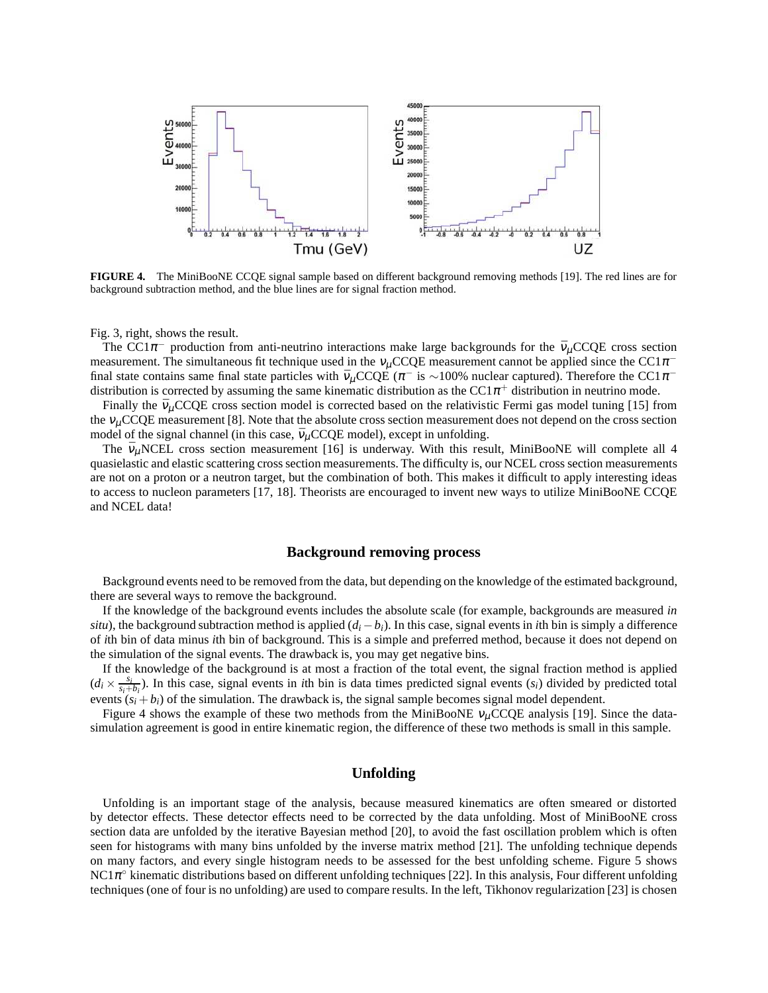

**FIGURE 4.** The MiniBooNE CCQE signal sample based on different background removing methods [19]. The red lines are for background subtraction method, and the blue lines are for signal fraction method.

Fig. 3, right, shows the result.

The CC1 $\pi^-$  production from anti-neutrino interactions make large backgrounds for the  $\bar{v}_\mu$ CCQE cross section measurement. The simultaneous fit technique used in the  $v_\mu$ CCQE measurement cannot be applied since the CC1 $\pi$ <sup>-</sup> final state contains same final state particles with  $\bar{v}_\mu$ CCQE ( $\pi^-$  is ~100% nuclear captured). Therefore the CC1 $\pi^$ distribution is corrected by assuming the same kinematic distribution as the CC1 $\pi^+$  distribution in neutrino mode.

Finally the  $\bar{v}_{\mu}$ CCQE cross section model is corrected based on the relativistic Fermi gas model tuning [15] from the  $v_\mu$ CCQE measurement [8]. Note that the absolute cross section measurement does not depend on the cross section model of the signal channel (in this case,  $\bar{v}_{\mu}$ CCQE model), except in unfolding.

The  $\bar{v}_{\mu}$ NCEL cross section measurement [16] is underway. With this result, MiniBooNE will complete all 4 quasielastic and elastic scattering cross section measurements. The difficulty is, our NCEL cross section measurements are not on a proton or a neutron target, but the combination of both. This makes it difficult to apply interesting ideas to access to nucleon parameters [17, 18]. Theorists are encouraged to invent new ways to utilize MiniBooNE CCQE and NCEL data!

### **Background removing process**

Background events need to be removed from the data, but depending on the knowledge of the estimated background, there are several ways to remove the background.

If the knowledge of the background events includes the absolute scale (for example, backgrounds are measured *in situ*), the background subtraction method is applied  $(d_i - b_i)$ . In this case, signal events in *i*th bin is simply a difference of *i*th bin of data minus *i*th bin of background. This is a simple and preferred method, because it does not depend on the simulation of the signal events. The drawback is, you may get negative bins.

If the knowledge of the background is at most a fraction of the total event, the signal fraction method is applied  $(d_i \times \frac{s_i}{s_i+b_i})$ . In this case, signal events in *i*th bin is data times predicted signal events  $(s_i)$  divided by predicted total events  $(s_i + b_i)$  of the simulation. The drawback is, the signal sample becomes signal model dependent.

Figure 4 shows the example of these two methods from the MiniBooNE  $v_\mu$ CCQE analysis [19]. Since the datasimulation agreement is good in entire kinematic region, the difference of these two methods is small in this sample.

# **Unfolding**

Unfolding is an important stage of the analysis, because measured kinematics are often smeared or distorted by detector effects. These detector effects need to be corrected by the data unfolding. Most of MiniBooNE cross section data are unfolded by the iterative Bayesian method [20], to avoid the fast oscillation problem which is often seen for histograms with many bins unfolded by the inverse matrix method [21]. The unfolding technique depends on many factors, and every single histogram needs to be assessed for the best unfolding scheme. Figure 5 shows NC1 $\pi^{\circ}$  kinematic distributions based on different unfolding techniques [22]. In this analysis, Four different unfolding techniques (one of four is no unfolding) are used to compare results. In the left, Tikhonov regularization [23] is chosen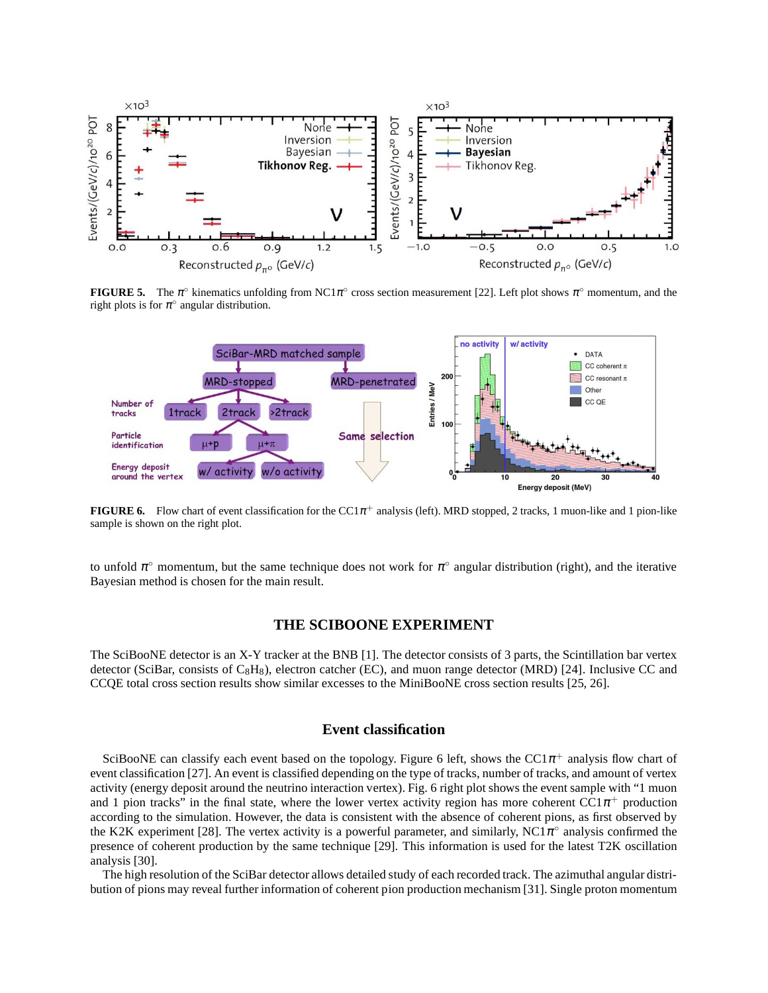

**FIGURE 5.** The  $\pi^{\circ}$  kinematics unfolding from NC1 $\pi^{\circ}$  cross section measurement [22]. Left plot shows  $\pi^{\circ}$  momentum, and the right plots is for  $\pi^\circ$  angular distribution.



**FIGURE 6.** Flow chart of event classification for the  $CC1\pi^+$  analysis (left). MRD stopped, 2 tracks, 1 muon-like and 1 pion-like sample is shown on the right plot.

to unfold  $\pi^{\circ}$  momentum, but the same technique does not work for  $\pi^{\circ}$  angular distribution (right), and the iterative Bayesian method is chosen for the main result.

### **THE SCIBOONE EXPERIMENT**

The SciBooNE detector is an X-Y tracker at the BNB [1]. The detector consists of 3 parts, the Scintillation bar vertex detector (SciBar, consists of  $C_8H_8$ ), electron catcher (EC), and muon range detector (MRD) [24]. Inclusive CC and CCQE total cross section results show similar excesses to the MiniBooNE cross section results [25, 26].

### **Event classification**

SciBooNE can classify each event based on the topology. Figure 6 left, shows the  $CC1\pi^+$  analysis flow chart of event classification [27]. An event is classified depending on the type of tracks, number of tracks, and amount of vertex activity (energy deposit around the neutrino interaction vertex). Fig. 6 right plot shows the event sample with "1 muon and 1 pion tracks" in the final state, where the lower vertex activity region has more coherent  $\hat{CC1}\pi^+$  production according to the simulation. However, the data is consistent with the absence of coherent pions, as first observed by the K2K experiment [28]. The vertex activity is a powerful parameter, and similarly, NC1 $\pi$ ° analysis confirmed the presence of coherent production by the same technique [29]. This information is used for the latest T2K oscillation analysis [30].

The high resolution of the SciBar detector allows detailed study of each recorded track. The azimuthal angular distribution of pions may reveal further information of coherent pion production mechanism [31]. Single proton momentum